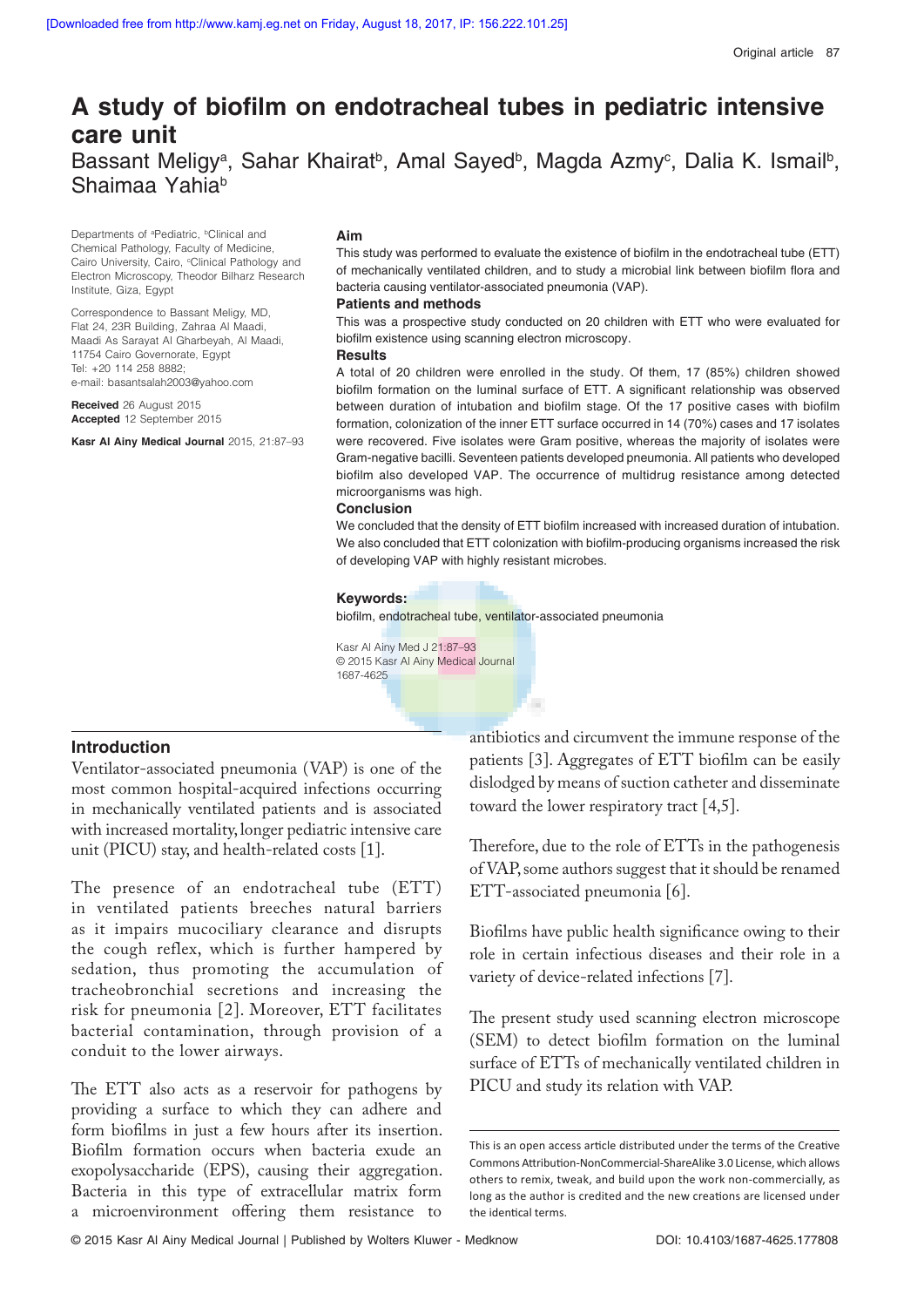# A study of biofilm on endotracheal tubes in pediatric intensive **care unit** Bassant Meligy<sup>a</sup>, Sahar Khairat<sup>b</sup>, Amal Sayed<sup>b</sup>, Magda Azmy<sup>c</sup>, Dalia K. Ismail<sup>b</sup>, Shaimaa Yahia<sup>b</sup>

Departments of <sup>a</sup>Pediatric, <sup>b</sup>Clinical and Chemical Pathology, Faculty of Medicine, Cairo University, Cairo, <sup>c</sup>Clinical Pathology and Electron Microscopy, Theodor Bilharz Research Institute, Giza, Egypt

Correspondence to Bassant Meligy, MD, Flat 24, 23R Building, Zahraa Al Maadi, Maadi As Sarayat Al Gharbeyah, Al Maadi, 11754 Cairo Governorate, Egypt Tel: +20 114 258 8882; e-mail: basantsalah2003@yahoo.com

**Received** 26 August 2015 **Accepted** 12 September 2015

**Kasr Al Ainy Medical Journal** 2015, 21:87–93

### **Aim**

This study was performed to evaluate the existence of biofilm in the endotracheal tube (ETT) of mechanically ventilated children, and to study a microbial link between biofilm flora and bacteria causing ventilator-associated pneumonia (VAP).

#### **Patients and methods**

This was a prospective study conducted on 20 children with ETT who were evaluated for biofilm existence using scanning electron microscopy.

#### **Results**

A total of 20 children were enrolled in the study. Of them, 17 (85%) children showed biofilm formation on the luminal surface of ETT. A significant relationship was observed between duration of intubation and biofilm stage. Of the 17 positive cases with biofilm formation, colonization of the inner ETT surface occurred in 14 (70%) cases and 17 isolates were recovered. Five isolates were Gram positive, whereas the majority of isolates were Gram-negative bacilli. Seventeen patients developed pneumonia. All patients who developed biofilm also developed VAP. The occurrence of multidrug resistance among detected microorganisms was high.

### **Conclusion**

We concluded that the density of ETT biofilm increased with increased duration of intubation. We also concluded that ETT colonization with biofilm-producing organisms increased the risk of developing VAP with highly resistant microbes.

#### **Keywords:**

biofilm, endotracheal tube, ventilator-associated pneumonia

Kasr Al Ainy Med J 21:87–93 © 2015 Kasr Al Ainy Medical Journal 1687-4625

### **Introduction**

Ventilator-associated pneumonia (VAP) is one of the most common hospital-acquired infections occurring in mechanically ventilated patients and is associated with increased mortality, longer pediatric intensive care unit (PICU) stay, and health-related costs [1].

The presence of an endotracheal tube (ETT) in ventilated patients breeches natural barriers as it impairs mucociliary clearance and disrupts the cough reflex, which is further hampered by sedation, thus promoting the accumulation of tracheobronchial secretions and increasing the risk for pneumonia [2]. Moreover, ETT facilitates bacterial contamination, through provision of a conduit to the lower airways.

The ETT also acts as a reservoir for pathogens by providing a surface to which they can adhere and form biofilms in just a few hours after its insertion. Biofilm formation occurs when bacteria exude an exopolysaccharide (EPS), causing their aggregation. Bacteria in this type of extracellular matrix form a microenvironment offering them resistance to antibiotics and circumvent the immune response of the patients  $[3]$ . Aggregates of ETT biofilm can be easily dislodged by means of suction catheter and disseminate toward the lower respiratory tract [4,5].

Therefore, due to the role of ETTs in the pathogenesis of VAP, some authors suggest that it should be renamed ETT-associated pneumonia [6].

Biofilms have public health significance owing to their role in certain infectious diseases and their role in a variety of device-related infections [7].

The present study used scanning electron microscope (SEM) to detect biofilm formation on the luminal surface of ETTs of mechanically ventilated children in PICU and study its relation with VAP.

This is an open access article distributed under the terms of the Creative Commons Attribution-NonCommercial-ShareAlike 3.0 License, which allows others to remix, tweak, and build upon the work non-commercially, as long as the author is credited and the new creations are licensed under the identical terms.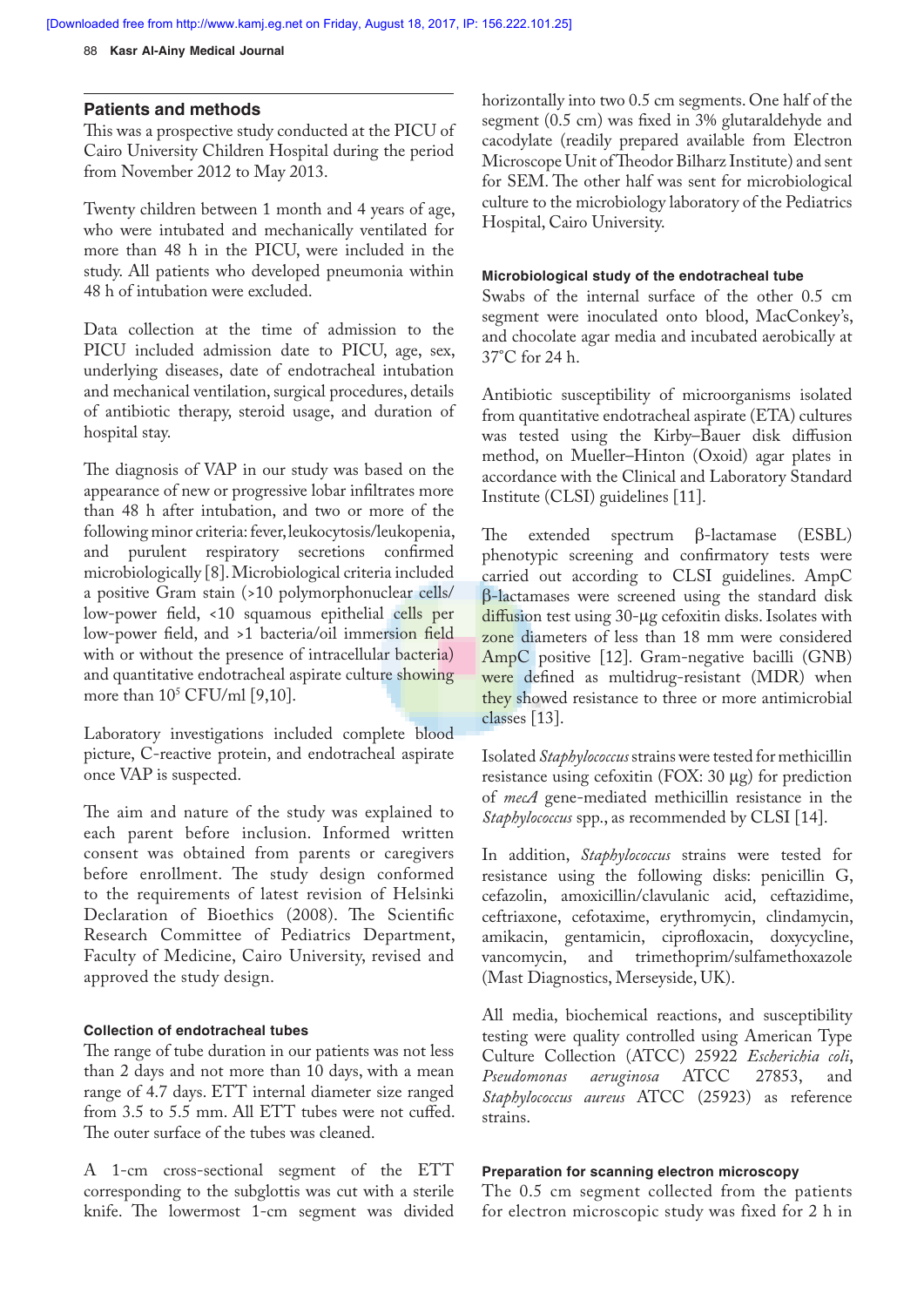### **Patients and methods**

This was a prospective study conducted at the PICU of Cairo University Children Hospital during the period from November 2012 to May 2013.

Twenty children between 1 month and 4 years of age, who were intubated and mechanically ventilated for more than 48 h in the PICU, were included in the study. All patients who developed pneumonia within 48 h of intubation were excluded.

Data collection at the time of admission to the PICU included admission date to PICU, age, sex, underlying diseases, date of endotracheal intubation and mechanical ventilation, surgical procedures, details of antibiotic therapy, steroid usage, and duration of hospital stay.

The diagnosis of VAP in our study was based on the appearance of new or progressive lobar infiltrates more than 48 h after intubation, and two or more of the following minor criteria: fever, leukocytosis/ leukopenia, and purulent respiratory secretions confirmed microbiologically [8]. Microbiological criteria included a positive Gram stain (>10 polymorphonuclear cells/ low-power field, <10 squamous epithelial cells per low-power field, and >1 bacteria/oil immersion field with or without the presence of intracellular bacteria) and quantitative endotracheal aspirate culture showing more than  $10^5$  CFU/ml [9,10].

Laboratory investigations included complete blood picture, C-reactive protein, and endotracheal aspirate once VAP is suspected.

The aim and nature of the study was explained to each parent before inclusion. Informed written consent was obtained from parents or caregivers before enrollment. The study design conformed to the requirements of latest revision of Helsinki Declaration of Bioethics (2008). The Scientific Research Committee of Pediatrics Department, Faculty of Medicine, Cairo University, revised and approved the study design.

### **Collection of endotracheal tubes**

The range of tube duration in our patients was not less than 2 days and not more than 10 days, with a mean range of 4.7 days. ETT internal diameter size ranged from  $3.5$  to  $5.5$  mm. All ETT tubes were not cuffed. The outer surface of the tubes was cleaned.

A 1-cm cross-sectional segment of the ETT corresponding to the subglottis was cut with a sterile knife. The lowermost 1-cm segment was divided horizontally into two 0.5 cm segments. One half of the segment (0.5 cm) was fixed in 3% glutaraldehyde and cacodylate (readily prepared available from Electron Microscope Unit of Theodor Bilharz Institute) and sent for SEM. The other half was sent for microbiological culture to the microbiology laboratory of the Pediatrics Hospital, Cairo University.

## **Microbiological study of the endotracheal tube**

Swabs of the internal surface of the other 0.5 cm segment were inoculated onto blood, MacConkey's, and chocolate agar media and incubated aerobically at 37°C for 24 h.

Antibiotic susceptibility of microorganisms isolated from quantitative endotracheal aspirate (ETA) cultures was tested using the Kirby-Bauer disk diffusion method, on Mueller–Hinton (Oxoid) agar plates in accordance with the Clinical and Laboratory Standard Institute (CLSI) guidelines [11].

The extended spectrum  $\beta$ -lactamase (ESBL) phenotypic screening and confirmatory tests were carried out according to CLSI guidelines.AmpC  $\beta$ -lactamases were screened using the standard disk  $diffusion$  test using  $30$ - $\mu$ g cefoxitin disks. Isolates with zone diameters of less than 18 mm were considered AmpC positive [12]. Gram-negative bacilli (GNB) were defined as multidrug-resistant (MDR) when they showed resistance to three or more antimicrobial classes [13].

Isolated *Staphylococcus* strains were tested for methicillin resistance using cefoxitin (FOX:  $30 \mu g$ ) for prediction of *mecA* gene-mediated methicillin resistance in the *Staphylococcus* spp., as recommended by CLSI [14].

In addition, *Staphylococcus* strains were tested for resistance using the following disks: penicillin G, cefazolin, amoxicillin/clavulanic acid, ceftazidime, ceftriaxone, cefotaxime, erythromycin, clindamycin, amikacin, gentamicin, ciprofloxacin, doxycycline, vancomycin, and trimethoprim/sulfamethoxazole (Mast Diagnostics, Merseyside, UK).

All media, biochemical reactions, and susceptibility testing were quality controlled usingAmerican Type Culture Collection (ATCC) 25922 *Escherichia coli*, *Pseudomonas aeruginosa* ATCC 27853, and *Staphylococcus aureus* ATCC (25923) as reference strains.

### **Preparation for scanning electron microscopy**

The 0.5 cm segment collected from the patients for electron microscopic study was fixed for 2 h in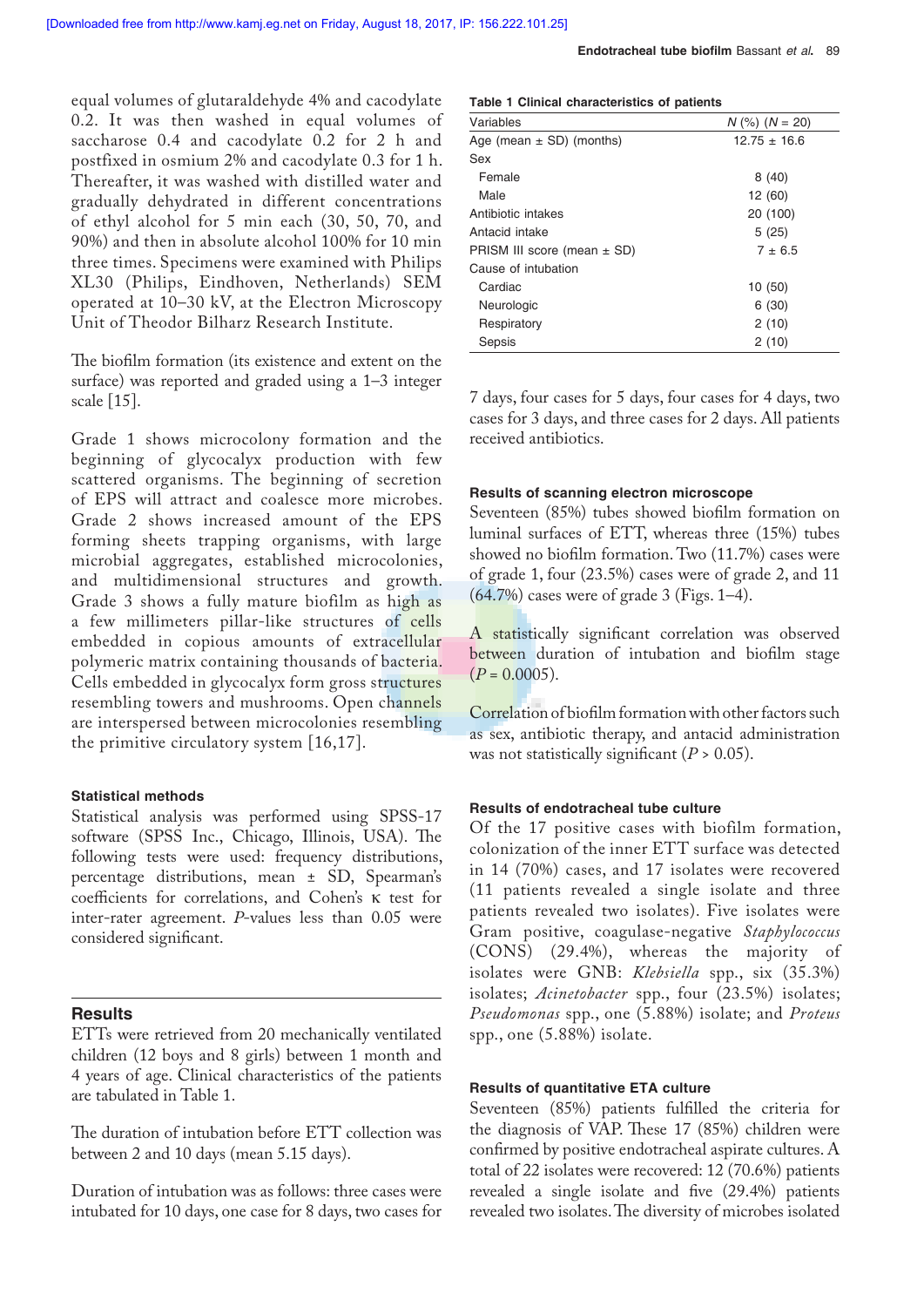equal volumes of glutaraldehyde 4% and cacodylate 0.2. It was then washed in equal volumes of saccharose 0.4 and cacodylate 0.2 for 2 h and postfixed in osmium 2% and cacodylate 0.3 for 1 h. Thereafter, it was washed with distilled water and gradually dehydrated in different concentrations of ethyl alcohol for 5 min each (30, 50, 70, and 90%) and then in absolute alcohol 100% for 10 min three times. Specimens were examined with Philips XL30 (Philips, Eindhoven, Netherlands) SEM operated at 10–30 kV, at the Electron Microscopy Unit of Theodor Bilharz Research Institute.

The biofilm formation (its existence and extent on the surface) was reported and graded using a 1–3 integer scale [15].

Grade 1 shows microcolony formation and the beginning of glycocalyx production with few scattered organisms. The beginning of secretion of EPS will attract and coalesce more microbes. Grade 2 shows increased amount of the EPS forming sheets trapping organisms, with large microbial aggregates, established microcolonies, and multidimensional structures and growth. Grade 3 shows a fully mature biofilm as high as a fewmillimeters pillar-like structures of cells embedded in copious amounts of extracellular polymeric matrix containing thousands of bacteria. Cells embedded in glycocalyx form gross structures resembling towers and mushrooms. Open channels are interspersed between microcolonies resembling the primitive circulatory system [16,17].

### **Statistical methods**

Statistical analysis was performed using SPSS-17 software (SPSS Inc., Chicago, Illinois, USA). The following tests were used: frequency distributions, percentage distributions, mean ± SD, Spearman's coefficients for correlations, and Cohen's K test for inter-rater agreement. *P*-values less than 0.05 were considered significant.

### **Results**

ETTs were retrieved from 20mechanically ventilated children (12 boys and 8 girls) between 1 month and 4 years of age. Clinical characteristics of the patients are tabulated in Table 1.

The duration of intubation before ETT collection was between 2 and 10 days (mean 5.15 days).

Duration of intubation was as follows: three cases were intubated for 10 days, one case for 8 days, two cases for

|  |  |  | Table 1 Clinical characteristics of patients |  |  |
|--|--|--|----------------------------------------------|--|--|
|--|--|--|----------------------------------------------|--|--|

| Variables                       | $N$ (%) ( $N = 20$ ) |
|---------------------------------|----------------------|
| Age (mean $\pm$ SD) (months)    | $12.75 \pm 16.6$     |
| Sex                             |                      |
| Female                          | 8(40)                |
| Male                            | 12 (60)              |
| Antibiotic intakes              | 20 (100)             |
| Antacid intake                  | 5(25)                |
| PRISM III score (mean $\pm$ SD) | $7 \pm 6.5$          |
| Cause of intubation             |                      |
| Cardiac                         | 10(50)               |
| Neurologic                      | 6(30)                |
| Respiratory                     | 2(10)                |
| Sepsis                          | 2(10)                |

7 days, four cases for 5 days, four cases for 4 days, two cases for 3 days, and three cases for 2 days. All patients received antibiotics.

### **Results of scanning electron microscope**

Seventeen (85%) tubes showed biofilm formation on luminal surfaces of ETT, whereas three (15%) tubes showed no biofilm formation. Two (11.7%) cases were of grade 1, four (23.5%) cases were of grade 2, and 11 (64.7%) cases were of grade 3 (Figs. 1–4).

A statistically significant correlation was observed between duration of intubation and biofilm stage  $(P = 0.0005)$ .

Correlation of biofilm formation with other factors such as sex, antibiotic therapy, and antacid administration was not statistically significant  $(P > 0.05)$ .

### **Results of endotracheal tube culture**

Of the 17 positive cases with biofilm formation, colonization of the inner ETT surface was detected in 14 (70%) cases, and 17 isolates were recovered (11 patients revealed a single isolate and three patients revealed two isolates). Five isolates were Gram positive, coagulase-negative *Staphylococcus* (CONS) (29.4%), whereas the majority of isolates wereGNB: *Klebsiella* spp., six (35.3%) isolates; *Acinetobacter* spp., four (23.5%) isolates; *Pseudomonas* spp., one (5.88%) isolate; and *Proteus* spp., one (5.88%) isolate.

### **Results of quantitative ETA culture**

Seventeen (85%) patients fulfilled the criteria for the diagnosis of VAP. These 17 (85%) children were confirmed by positive endotracheal aspirate cultures. A total of 22 isolates were recovered: 12 (70.6%) patients revealed a single isolate and five (29.4%) patients revealed two isolates. The diversity of microbes isolated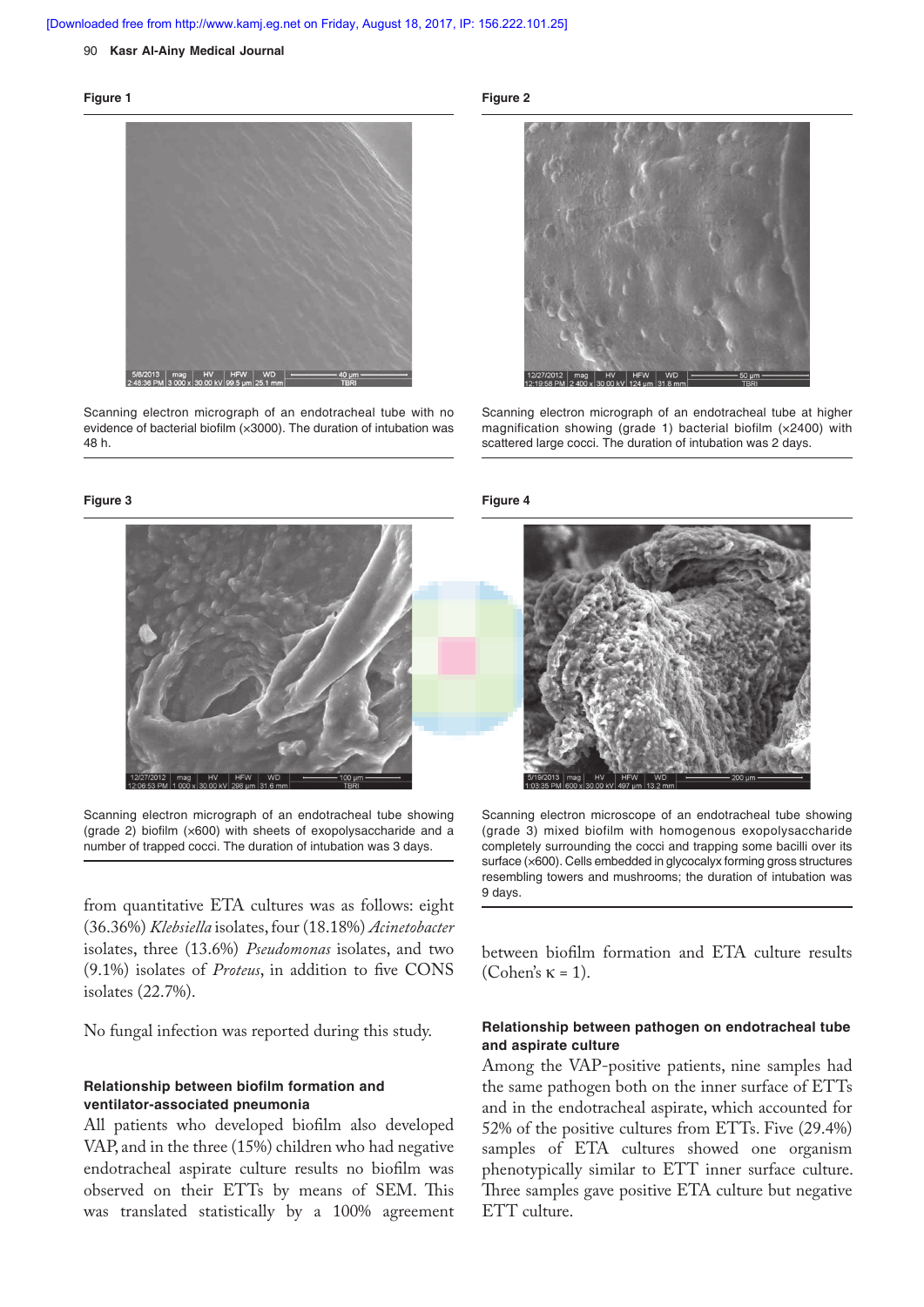#### 90 **Kasr Al-Ainy Medical Journal**

#### **Figure 1**



Scanning electron micrograph of an endotracheal tube with no evidence of bacterial biofilm (×3000). The duration of intubation was 48 h.

#### **Figure 3**



Scanning electron micrograph of an endotracheal tube showing (grade 2) biofilm  $(x600)$  with sheets of exopolysaccharide and a number of trapped cocci. The duration of intubation was 3 days.

from quantitative ETA cultures was as follows: eight (36.36%) *Klebsiella* isolates, four (18.18%) *Acinetobacter*  isolates, three (13.6%) *Pseudomonas* isolates, and two (9.1%) isolates of *Proteus*, in addition to five CONS isolates (22.7%).

No fungal infection was reported during this study.

### **Relationship between biofilm formation and ventilator-associated pneumonia**

All patients who developed biofilm also developed VAP, and in the three (15%) children who had negative endotracheal aspirate culture results no biofilm was observed on their ETTs by means of SEM. This was translated statistically by a 100% agreement **Figure 2**



Scanning electron micrograph of an endotracheal tube at higher magnification showing (grade 1) bacterial biofilm (×2400) with scattered large cocci. The duration of intubation was 2 days.

#### **Figure 4**



Scanning electron microscope of an endotracheal tube showing (grade 3) mixed biofilm with homogenous exopolysaccharide completely surrounding the cocci and trapping some bacilli over its surface (×600). Cells embedded in glycocalyx forming gross structures resembling towers and mushrooms; the duration of intubation was 9 days.

between biofilm formation and ETA culture results (Cohen's  $\kappa = 1$ ).

### **Relationship between pathogen on endotracheal tube and aspirate culture**

Among the VAP-positive patients, nine samples had the same pathogen both on the inner surface of ETTs and in the endotracheal aspirate, which accounted for 52% of the positive cultures from ETTs. Five (29.4%) samples of ETA cultures showed one organism phenotypically similar to ETT inner surface culture. Three samples gave positive ETA culture but negative ETT culture.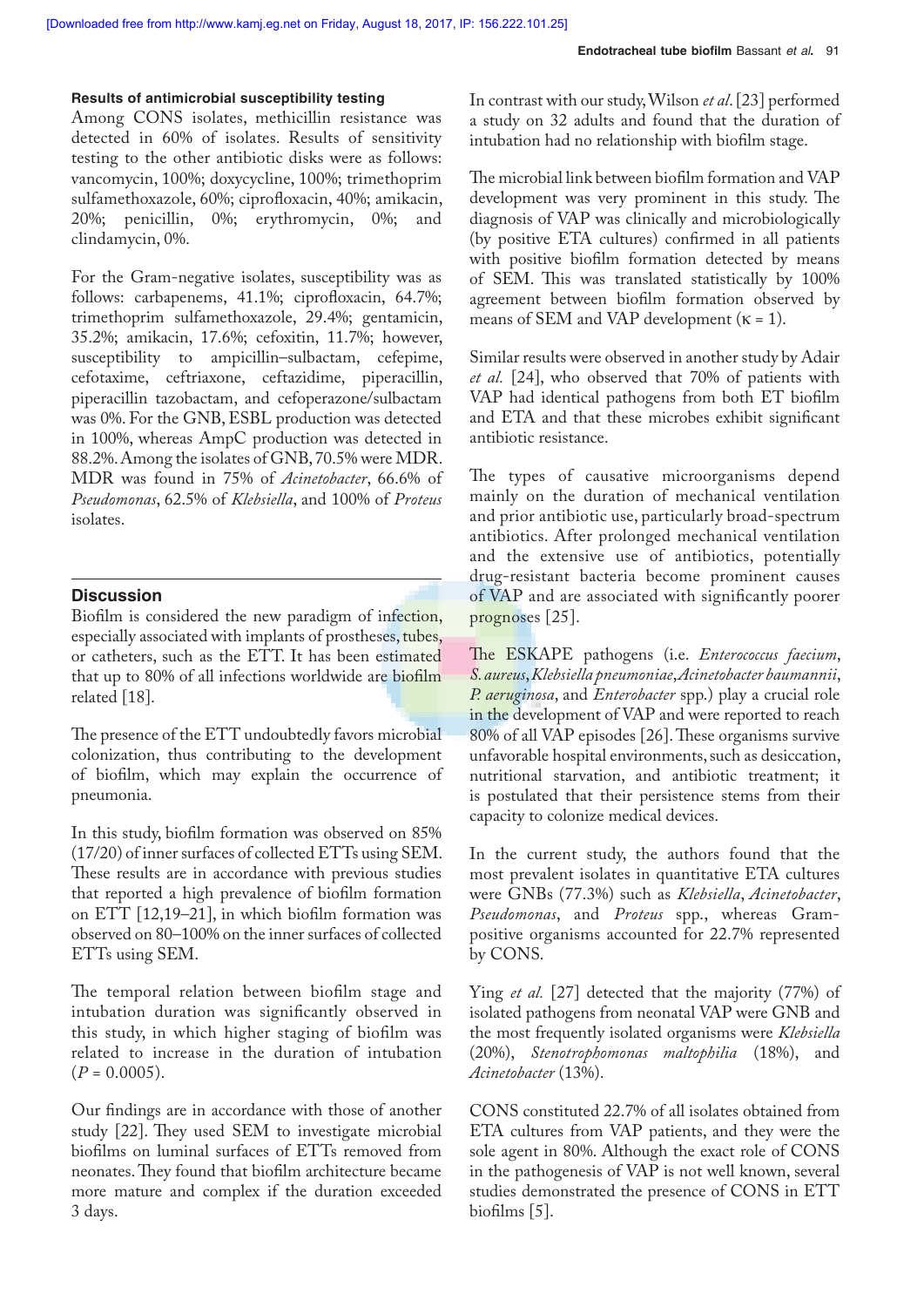### **Results of antimicrobial susceptibility testing**

Among CONS isolates, methicillin resistance was detected in 60% of isolates. Results of sensitivity testing to the other antibiotic disks were as follows: vancomycin, 100%; doxycycline, 100%; trimethoprim sulfamethoxazole, 60%; ciprofloxacin, 40%; amikacin, 20%; penicillin, 0%; erythromycin, 0%; and clindamycin, 0%.

For the Gram-negative isolates, susceptibility was as follows: carbapenems, 41.1%; ciprofloxacin, 64.7%; trimethoprim sulfamethoxazole, 29.4%; gentamicin, 35.2%; amikacin, 17.6%; cefoxitin, 11.7%; however, susceptibility to ampicillin–sulbactam, cefepime, cefotaxime, ceftriaxone, ceftazidime, piperacillin, piperacillin tazobactam, and cefoperazone/sulbactam was 0%. For the GNB, ESBL production was detected in 100%, whereas AmpC production was detected in 88.2%. Among the isolates of GNB, 70.5% were MDR. MDR was found in 75% of *Acinetobacter*, 66.6% of *Pseudomonas*, 62.5% of *Klebsiella*, and 100% of *Proteus* isolates.

### **Discussion**

Biofilm is considered the new paradigm of infection, especially associated with implants of prostheses, tubes, or catheters, such as the ETT. It has been estimated that up to 80% of all infections worldwide are biofilm related [18].

The presence of the ETT undoubtedly favors microbial colonization, thus contributing to the development of biofilm, which may explain the occurrence of pneumonia.

In this study, biofilm formation was observed on 85% (17/20) of inner surfaces of collected ETTs using SEM. These results are in accordance with previous studies that reported a high prevalence of biofilm formation on ETT  $[12,19-21]$ , in which biofilm formation was observed on 80–100% on the inner surfaces of collected ETTs using SEM.

The temporal relation between biofilm stage and intubation duration was significantly observed in this study, in which higher staging of biofilm was related to increase in the duration of intubation  $(P = 0.0005)$ .

Our findings are in accordance with those of another study [22]. They used SEM to investigate microbial biofilms on luminal surfaces of ETTs removed from neonates. They found that biofilm architecture became more mature and complex if the duration exceeded 3 days.

In contrast with our study, Wilson *et al*. [23] performed a study on 32 adults and found that the duration of intubation had no relationship with biofilm stage.

The microbial link between biofilm formation and VAP development was very prominent in this study. The diagnosis of VAP was clinically and microbiologically (by positive ETA cultures) confirmed in all patients with positive biofilm formation detected by means of SEM. This was translated statistically by 100% agreement between biofilm formation observed by means of SEM and VAP development ( $\kappa = 1$ ).

Similar results were observed in another study by Adair *et al.* [24], who observed that 70% of patients with VAP had identical pathogens from both ET biofilm and ETA and that these microbes exhibit significant antibiotic resistance.

The types of causative microorganisms depend mainly on the duration of mechanical ventilation and prior antibiotic use, particularly broad-spectrum antibiotics. After prolonged mechanical ventilation and the extensive use of antibiotics, potentially drug-resistant bacteria become prominent causes of VAP and are associated with significantly poorer prognoses [25].

The ESKAPE pathogens (i.e. *Enterococcus faecium*, *S. aureus*, *Klebsiella pneumoniae*, *Acinetobacter baumannii*, *P. aeruginosa*, and *Enterobacter* spp.) play a crucial role in the development of VAP and were reported to reach 80% of all VAP episodes [26]. These organisms survive unfavorable hospital environments, such as desiccation, nutritional starvation, and antibiotic treatment; it is postulated that their persistence stems from their capacity to colonize medical devices.

In the current study, the authors found that the most prevalent isolates in quantitative ETA cultures were GNBs (77.3%) such as *Klebsiella*, *Acinetobacter*, Pseudomonas, and Proteus spp., whereas Grampositive organisms accounted for 22.7% represented by CONS.

Ying *et al.* [27] detected that the majority (77%) of isolated pathogens from neonatal VAP were GNB and the most frequently isolated organisms were *Klebsiella* (20%), *Stenotrophomonas maltophilia* (18%), and *Acinetobacter* (13%).

CONS constituted 22.7% of all isolates obtained from ETA cultures from VAP patients, and they were the sole agent in 80%. Although the exact role of CONS in the pathogenesis of VAP is not well known, several studies demonstrated the presence of CONS in ETT biofilms  $[5]$ .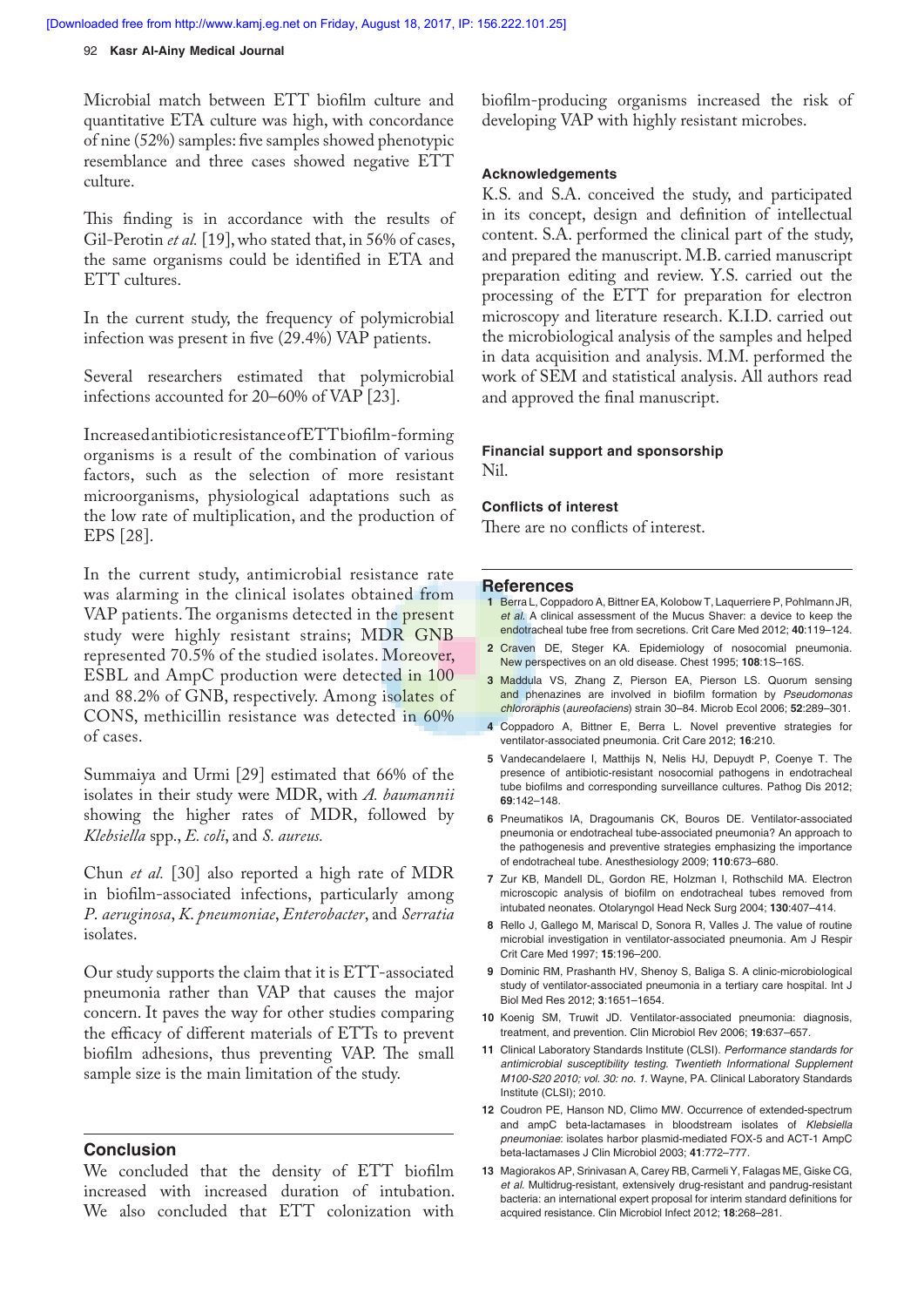### 92 **Kasr Al-Ainy Medical Journal**

Microbial match between ETT biofilm culture and quantitative ETA culture was high, with concordance of nine (52%) samples: five samples showed phenotypic resemblance and three cases showed negative ETT culture.

This finding is in accordance with the results of Gil-Perotin *et al.* [19], who stated that, in 56% of cases, the same organisms could be identified in ETA and ETT cultures.

In the current study, the frequency of polymicrobial infection was present in five  $(29.4%)$  VAP patients.

Several researchers estimated that polymicrobial infections accounted for 20–60% of VAP [23].

Increased antibiotic resistance of ETT biofilm-forming organisms is a result of the combination of various factors, such as the selection of more resistant microorganisms, physiological adaptations such as the low rate of multiplication, and the production of EPS [28].

In the current study, antimicrobial resistance rate was alarming in the clinical isolates obtained from VAP patients. The organisms detected in the present study were highly resistant strains; MDR GNB represented 70.5% of the studied isolates. Moreover, ESBL and AmpC production were detected in 100 and 88.2% of GNB, respectively. Among isolates of CONS, methicillin resistance was detected in 60% of cases.

Summaiya and Urmi [29] estimated that 66% of the isolates in their study were MDR, with *A. baumannii* showing the higher rates of MDR, followed by *Klebsiella* spp., *E. coli*, and *S. aureus.*

Chun *et al.* [30] also reported a high rate of MDR in biofilm-associated infections, particularly among *P*. *aeruginosa*, *K*. *pneumoniae*, *Enterobacter*, and *Serratia*  isolates.

Our study supports the claim that it is ETT-associated pneumonia rather than VAP that causes the major concern. It paves the way for other studies comparing the efficacy of different materials of ETTs to prevent biofilm adhesions, thus preventing VAP. The small sample size is the main limitation of the study.

### **Conclusion**

We concluded that the density of ETT biofilm increased with increased duration of intubation. We also concluded that ETT colonization with biofilm-producing organisms increased the risk of developing VAP with highly resistant microbes.

### **Acknowledgements**

K.S. and S.A. conceived the study, and participated in its concept, design and definition of intellectual content. S.A. performed the clinical part of the study, and prepared the manuscript. M.B. carried manuscript preparation editing and review. Y.S. carried out the processing of the ETT for preparation for electron microscopy and literature research. K.I.D. carried out the microbiological analysis of the samples and helped in data acquisition and analysis. M.M. performed the work of SEM and statistical analysis. All authors read and approved the final manuscript.

### **Financial support and sponsorship** Nil.

**Conflicts of interest** 

There are no conflicts of interest.

#### **Reference s**

- **1** Berra L, Coppadoro A, Bittner EA, Kolobow T, Laquerriere P, Pohlmann JR, *et al.* A clinical assessment of the Mucus Shaver: a device to keep the endotracheal tube free from secretions. Crit Care Med 2012; **40**:119–124.
- **2** Craven DE, Steger KA. Epidemiology of nosocomial pneumonia. New perspectives on an old disease. Chest 1995; **108**:1S–16S.
- **3** Maddula VS, Zhang Z, Pierson EA, Pierson LS. Quorum sensing and phenazines are involved in biofilm formation by Pseudomonas *chlororaphis* (*aureofaciens*) strain 30–84. Microb Ecol 2006; **52**:289–301.
- **4** Coppadoro A, Bittner E, Berra L. Novel preventive strategies for ventilator-associated pneumonia. Crit Care 2012; **16**:210.
- **5** Vandecandelaere I, Matthijs N, Nelis HJ, Depuydt P, Coenye T. The presence of antibiotic-resistant nosocomial pathogens in endotracheal tube biofilms and corresponding surveillance cultures. Pathog Dis 2012; **69**:142–148.
- **6** Pneumatikos IA, Dragoumanis CK, Bouros DE. Ventilator-associated pneumonia or endotracheal tube-associated pneumonia? An approach to the pathogenesis and preventive strategies emphasizing the importance of endotracheal tube. Anesthesiology 2009; **110**:673–680.
- **7** Zur KB, Mandell DL, Gordon RE, Holzman I, Rothschild MA. Electron microscopic analysis of biofilm on endotracheal tubes removed from intubated neonates. Otolaryngol Head Neck Surg 2004; **130**:407–414.
- **8** Rello J, Gallego M, Mariscal D, Sonora R, Valles J. The value of routine microbial investigation in ventilator-associated pneumonia. Am J Respir Crit Care Med 1997; **15**:196–200.
- **9** Dominic RM, Prashanth HV, Shenoy S, Baliga S. A clinic-microbiological study of ventilator-associated pneumonia in a tertiary care hospital. Int J Biol Med Res 2012; **3**:1651–1654.
- **10** Koenig SM, Truwit JD. Ventilator-associated pneumonia: diagnosis, treatment, and prevention. Clin Microbiol Rev 2006; **19**:637–657.
- **11** Clinical Laboratory Standards Institute (CLSI). *Performance standards for antimicrobial susceptibility testing. Twentieth Informational Supplement M100-S20 2010; vol. 30: no. 1*. Wayne, PA. Clinical Laboratory Standards Institute (CLSI); 2010.
- **12** Coudron PE, Hanson ND, Climo MW. Occurrence of extended-spectrum and ampC beta-lactamases in bloodstream isolates of *Klebsiella pneumoniae*: isolates harbor plasmid-mediated FOX-5 and ACT-1 AmpC beta-lactamases J Clin Microbiol 2003; **41**:772–777.
- **13** Magiorakos AP, Srinivasan A, Carey RB, Carmeli Y, Falagas ME, Giske CG, *et al.* Multidrug-resistant, extensively drug-resistant and pandrug-resistant bacteria: an international expert proposal for interim standard definitions for acquired resistance. Clin Microbiol Infect 2012; **18**:268–281.